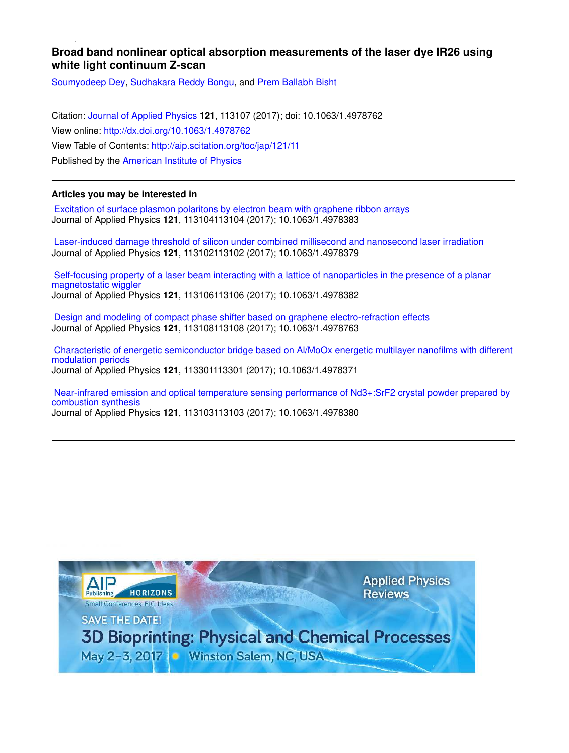# **Broad band nonlinear optical absorption measurements of the laser dye IR26 using white light continuum Z-scan**

Soumyodeep Dey, Sudhakara Reddy Bongu, and Prem Ballabh Bisht

Citation: Journal of Applied Physics **121**, 113107 (2017); doi: 10.1063/1.4978762 View online: http://dx.doi.org/10.1063/1.4978762 View Table of Contents: http://aip.scitation.org/toc/jap/121/11 Published by the American Institute of Physics

## **Articles you may be interested in**

 Excitation of surface plasmon polaritons by electron beam with graphene ribbon arrays Journal of Applied Physics **121**, 113104113104 (2017); 10.1063/1.4978383

 Laser-induced damage threshold of silicon under combined millisecond and nanosecond laser irradiation Journal of Applied Physics **121**, 113102113102 (2017); 10.1063/1.4978379

 Self-focusing property of a laser beam interacting with a lattice of nanoparticles in the presence of a planar magnetostatic wiggler Journal of Applied Physics **121**, 113106113106 (2017); 10.1063/1.4978382

 Design and modeling of compact phase shifter based on graphene electro-refraction effects Journal of Applied Physics **121**, 113108113108 (2017); 10.1063/1.4978763

 Characteristic of energetic semiconductor bridge based on Al/MoOx energetic multilayer nanofilms with different modulation periods Journal of Applied Physics **121**, 113301113301 (2017); 10.1063/1.4978371

 Near-infrared emission and optical temperature sensing performance of Nd3+:SrF2 crystal powder prepared by combustion synthesis Journal of Applied Physics **121**, 113103113103 (2017); 10.1063/1.4978380

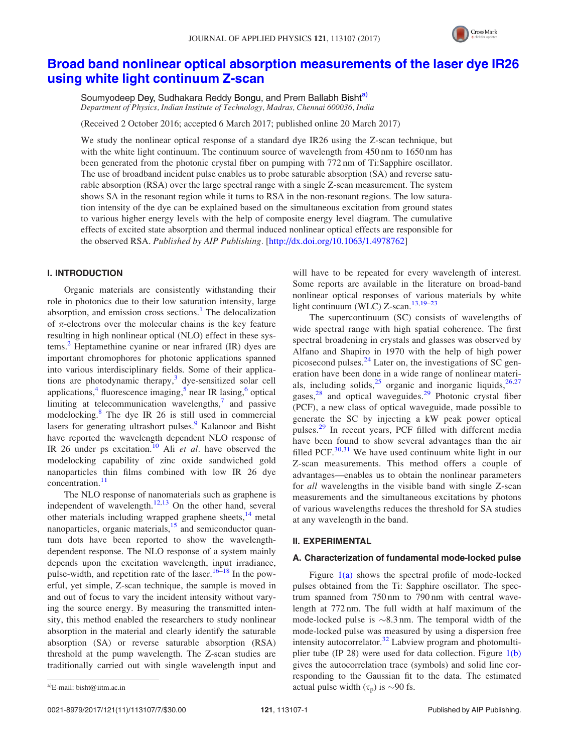

# Broad band nonlinear optical absorption measurements of the laser dye IR26 using white light continuum Z-scan

Soumyodeep Dey, Sudhakara Reddy Bongu, and Prem Ballabh Bisht<sup>a)</sup> Department of Physics, Indian Institute of Technology, Madras, Chennai 600036, India

(Received 2 October 2016; accepted 6 March 2017; published online 20 March 2017)

We study the nonlinear optical response of a standard dye IR26 using the Z-scan technique, but with the white light continuum. The continuum source of wavelength from 450 nm to 1650 nm has been generated from the photonic crystal fiber on pumping with 772 nm of Ti:Sapphire oscillator. The use of broadband incident pulse enables us to probe saturable absorption (SA) and reverse saturable absorption (RSA) over the large spectral range with a single Z-scan measurement. The system shows SA in the resonant region while it turns to RSA in the non-resonant regions. The low saturation intensity of the dye can be explained based on the simultaneous excitation from ground states to various higher energy levels with the help of composite energy level diagram. The cumulative effects of excited state absorption and thermal induced nonlinear optical effects are responsible for the observed RSA. Published by AIP Publishing. [http://dx.doi.org/10.1063/1.4978762]

## I. INTRODUCTION

Organic materials are consistently withstanding their role in photonics due to their low saturation intensity, large absorption, and emission cross sections.<sup>1</sup> The delocalization of  $\pi$ -electrons over the molecular chains is the key feature resulting in high nonlinear optical (NLO) effect in these systems.<sup>2</sup> Heptamethine cyanine or near infrared  $(IR)$  dyes are important chromophores for photonic applications spanned into various interdisciplinary fields. Some of their applications are photodynamic therapy,<sup>3</sup> dye-sensitized solar cell applications,<sup>4</sup> fluorescence imaging,<sup>5</sup> near IR lasing,<sup>6</sup> optical limiting at telecommunication wavelengths, $\frac{7}{7}$  and passive modelocking.<sup>8</sup> The dye IR 26 is still used in commercial lasers for generating ultrashort pulses.<sup>9</sup> Kalanoor and Bisht have reported the wavelength dependent NLO response of IR 26 under ps excitation.<sup>10</sup> Ali *et al.* have observed the modelocking capability of zinc oxide sandwiched gold nanoparticles thin films combined with low IR 26 dye concentration.<sup>11</sup>

The NLO response of nanomaterials such as graphene is independent of wavelength. $12,13$  On the other hand, several other materials including wrapped graphene sheets, $14$  metal nanoparticles, organic materials,<sup>15</sup> and semiconductor quantum dots have been reported to show the wavelengthdependent response. The NLO response of a system mainly depends upon the excitation wavelength, input irradiance, pulse-width, and repetition rate of the laser.  $16-18$  In the powerful, yet simple, Z-scan technique, the sample is moved in and out of focus to vary the incident intensity without varying the source energy. By measuring the transmitted intensity, this method enabled the researchers to study nonlinear absorption in the material and clearly identify the saturable absorption (SA) or reverse saturable absorption (RSA) threshold at the pump wavelength. The Z-scan studies are traditionally carried out with single wavelength input and

will have to be repeated for every wavelength of interest. Some reports are available in the literature on broad-band nonlinear optical responses of various materials by white light continuum (WLC) Z-scan.<sup>13,19–23</sup>

The supercontinuum (SC) consists of wavelengths of wide spectral range with high spatial coherence. The first spectral broadening in crystals and glasses was observed by Alfano and Shapiro in 1970 with the help of high power picosecond pulses. $^{24}$  Later on, the investigations of SC generation have been done in a wide range of nonlinear materials, including solids,  $25$  organic and inorganic liquids,  $26,27$ gases,<sup>28</sup> and optical waveguides.<sup>29</sup> Photonic crystal fiber (PCF), a new class of optical waveguide, made possible to generate the SC by injecting a kW peak power optical pulses.<sup>29</sup> In recent years, PCF filled with different media have been found to show several advantages than the air filled PCF. $30,31$  We have used continuum white light in our Z-scan measurements. This method offers a couple of advantages—enables us to obtain the nonlinear parameters for all wavelengths in the visible band with single Z-scan measurements and the simultaneous excitations by photons of various wavelengths reduces the threshold for SA studies at any wavelength in the band.

#### II. EXPERIMENTAL

## A. Characterization of fundamental mode-locked pulse

Figure  $1(a)$  shows the spectral profile of mode-locked pulses obtained from the Ti: Sapphire oscillator. The spectrum spanned from 750 nm to 790 nm with central wavelength at 772 nm. The full width at half maximum of the mode-locked pulse is  $\sim 8.3$  nm. The temporal width of the mode-locked pulse was measured by using a dispersion free intensity autocorrelator. $32$  Labview program and photomultiplier tube (IP 28) were used for data collection. Figure 1(b) gives the autocorrelation trace (symbols) and solid line corresponding to the Gaussian fit to the data. The estimated a)E-mail: bisht@iitm.ac.in actual pulse width  $(\tau_p)$  is  $\sim$ 90 fs.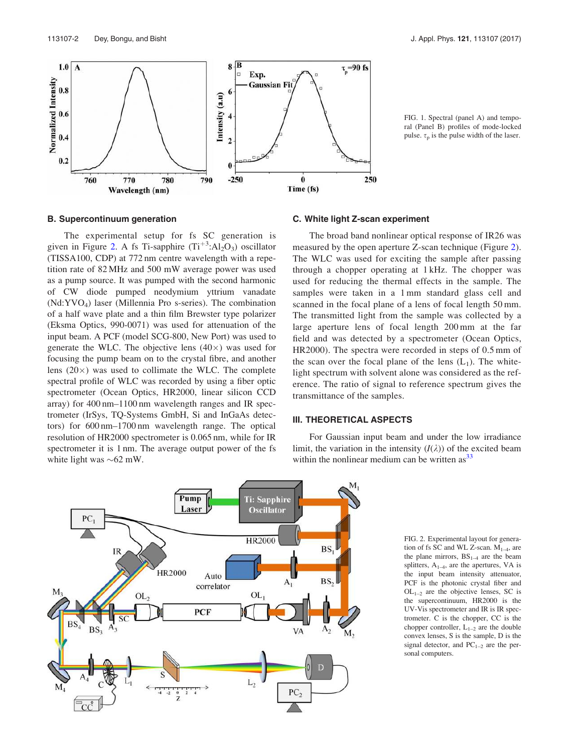

FIG. 1. Spectral (panel A) and temporal (Panel B) profiles of mode-locked pulse.  $\tau_n$  is the pulse width of the laser.

## B. Supercontinuum generation

The experimental setup for fs SC generation is given in Figure 2. A fs Ti-sapphire  $(Ti^{+3}:Al_2O_3)$  oscillator (TISSA100, CDP) at 772 nm centre wavelength with a repetition rate of 82 MHz and 500 mW average power was used as a pump source. It was pumped with the second harmonic of CW diode pumped neodymium yttrium vanadate (Nd:YVO<sup>4</sup> ) laser (Millennia Pro s-series). The combination of a half wave plate and a thin film Brewster type polarizer (Eksma Optics, 990-0071) was used for attenuation of the input beam. A PCF (model SCG-800, New Port) was used to generate the WLC. The objective lens  $(40\times)$  was used for focusing the pump beam on to the crystal fibre, and another lens  $(20\times)$  was used to collimate the WLC. The complete spectral profile of WLC was recorded by using a fiber optic spectrometer (Ocean Optics, HR2000, linear silicon CCD array) for 400 nm–1100 nm wavelength ranges and IR spectrometer (IrSys, TQ-Systems GmbH, Si and InGaAs detectors) for 600 nm–1700 nm wavelength range. The optical resolution of HR2000 spectrometer is 0.065 nm, while for IR spectrometer it is 1 nm. The average output power of the fs white light was  ${\sim}62$  mW.

## C. White light Z-scan experiment

The broad band nonlinear optical response of IR26 was measured by the open aperture Z-scan technique (Figure 2). The WLC was used for exciting the sample after passing through a chopper operating at 1 kHz. The chopper was used for reducing the thermal effects in the sample. The samples were taken in a 1 mm standard glass cell and scanned in the focal plane of a lens of focal length 50 mm. The transmitted light from the sample was collected by a large aperture lens of focal length 200 mm at the far field and was detected by a spectrometer (Ocean Optics, HR2000). The spectra were recorded in steps of 0.5 mm of the scan over the focal plane of the lens  $(L_1)$ . The whitelight spectrum with solvent alone was considered as the reference. The ratio of signal to reference spectrum gives the transmittance of the samples.

## III. THEORETICAL ASPECTS

For Gaussian input beam and under the low irradiance limit, the variation in the intensity  $(I(\lambda))$  of the excited beam within the nonlinear medium can be written  $\text{as}^{33}$ 



FIG. 2. Experimental layout for generation of fs SC and WL Z-scan.  $M_{1-4}$ , are the plane mirrors,  $BS_{1-4}$  are the beam splitters,  $A_{1-4}$ , are the apertures, VA is the input beam intensity attenuator, PCF is the photonic crystal fiber and  $OL_{1-2}$  are the objective lenses, SC is the supercontinuum, HR2000 is the UV-Vis spectrometer and IR is IR spectrometer. C is the chopper, CC is the chopper controller,  $L_{1-2}$  are the double convex lenses, S is the sample, D is the signal detector, and  $PC_{1-2}$  are the personal computers.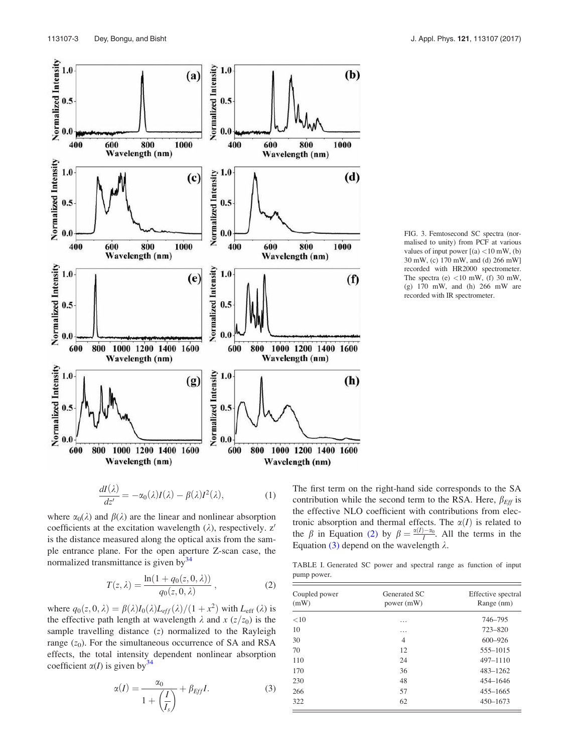

$$
\frac{dI(\lambda)}{dz'} = -\alpha_0(\lambda)I(\lambda) - \beta(\lambda)I^2(\lambda),\tag{1}
$$

where  $\alpha_0(\lambda)$  and  $\beta(\lambda)$  are the linear and nonlinear absorption coefficients at the excitation wavelength  $(\lambda)$ , respectively. z' is the distance measured along the optical axis from the sample entrance plane. For the open aperture Z-scan case, the normalized transmittance is given by $34$ 

$$
T(z,\lambda) = \frac{\ln(1 + q_0(z,0,\lambda))}{q_0(z,0,\lambda)},
$$
\n(2)

where  $q_0(z, 0, \lambda) = \beta(\lambda)I_0(\lambda)L_{eff}(\lambda)/(1 + x^2)$  with  $L_{eff}(\lambda)$  is the effective path length at wavelength  $\lambda$  and  $x$  ( $z/z_0$ ) is the sample travelling distance (z) normalized to the Rayleigh range  $(z_0)$ . For the simultaneous occurrence of SA and RSA effects, the total intensity dependent nonlinear absorption coefficient  $\alpha(I)$  is given by  $34$ 

$$
\alpha(I) = \frac{\alpha_0}{1 + \left(\frac{I}{I_s}\right)} + \beta_{Eff}I. \tag{3}
$$

FIG. 3. Femtosecond SC spectra (normalised to unity) from PCF at various values of input power  $[(a)$  <10 mW, (b) 30 mW, (c) 170 mW, and (d) 266 mW] recorded with HR2000 spectrometer. The spectra (e)  $<$ 10 mW, (f) 30 mW, (g) 170 mW, and (h) 266 mW are recorded with IR spectrometer.

The first term on the right-hand side corresponds to the SA contribution while the second term to the RSA. Here,  $\beta_{\text{Eff}}$  is the effective NLO coefficient with contributions from electronic absorption and thermal effects. The  $\alpha(I)$  is related to the  $\beta$  in Equation (2) by  $\beta = \frac{\alpha(I) - \alpha_0}{I}$ . All the terms in the Equation (3) depend on the wavelength  $\lambda$ .

TABLE I. Generated SC power and spectral range as function of input pump power.

| Coupled power<br>(mW) | Generated SC<br>power (mW) | Effective spectral<br>Range (nm) |
|-----------------------|----------------------------|----------------------------------|
| <10                   | .                          | 746-795                          |
| 10                    | .                          | 723-820                          |
| 30                    | 4                          | $600 - 926$                      |
| 70                    | 12                         | 555-1015                         |
| 110                   | 24                         | 497-1110                         |
| 170                   | 36                         | $483 - 1262$                     |
| 230                   | 48                         | 454-1646                         |
| 266                   | 57                         | $455 - 1665$                     |
| 322                   | 62                         | $450 - 1673$                     |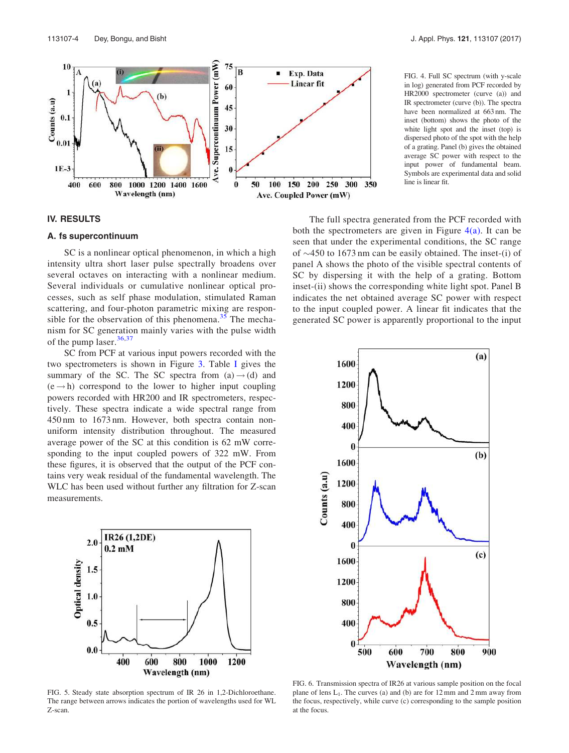

#### FIG. 4. Full SC spectrum (with y-scale in log) generated from PCF recorded by HR2000 spectrometer (curve (a)) and IR spectrometer (curve (b)). The spectra have been normalized at 663 nm. The inset (bottom) shows the photo of the white light spot and the inset (top) is dispersed photo of the spot with the help of a grating. Panel (b) gives the obtained average SC power with respect to the input power of fundamental beam. Symbols are experimental data and solid line is linear fit.

## IV. RESULTS

## A. fs supercontinuum

SC is a nonlinear optical phenomenon, in which a high intensity ultra short laser pulse spectrally broadens over several octaves on interacting with a nonlinear medium. Several individuals or cumulative nonlinear optical processes, such as self phase modulation, stimulated Raman scattering, and four-photon parametric mixing are responsible for the observation of this phenomena.<sup>35</sup> The mechanism for SC generation mainly varies with the pulse width of the pump laser. $36,37$ 

SC from PCF at various input powers recorded with the two spectrometers is shown in Figure 3. Table I gives the summary of the SC. The SC spectra from  $(a) \rightarrow (d)$  and  $(e \rightarrow h)$  correspond to the lower to higher input coupling powers recorded with HR200 and IR spectrometers, respectively. These spectra indicate a wide spectral range from 450 nm to 1673 nm. However, both spectra contain nonuniform intensity distribution throughout. The measured average power of the SC at this condition is 62 mW corresponding to the input coupled powers of 322 mW. From these figures, it is observed that the output of the PCF contains very weak residual of the fundamental wavelength. The WLC has been used without further any filtration for Z-scan measurements.



FIG. 5. Steady state absorption spectrum of IR 26 in 1,2-Dichloroethane. The range between arrows indicates the portion of wavelengths used for WL Z-scan.

The full spectra generated from the PCF recorded with both the spectrometers are given in Figure  $4(a)$ . It can be seen that under the experimental conditions, the SC range

of  $\sim$ 450 to 1673 nm can be easily obtained. The inset-(i) of panel A shows the photo of the visible spectral contents of SC by dispersing it with the help of a grating. Bottom inset-(ii) shows the corresponding white light spot. Panel B indicates the net obtained average SC power with respect to the input coupled power. A linear fit indicates that the generated SC power is apparently proportional to the input



FIG. 6. Transmission spectra of IR26 at various sample position on the focal plane of lens  $L_1$ . The curves (a) and (b) are for  $12 \text{ mm}$  and  $2 \text{ mm}$  away from the focus, respectively, while curve (c) corresponding to the sample position at the focus.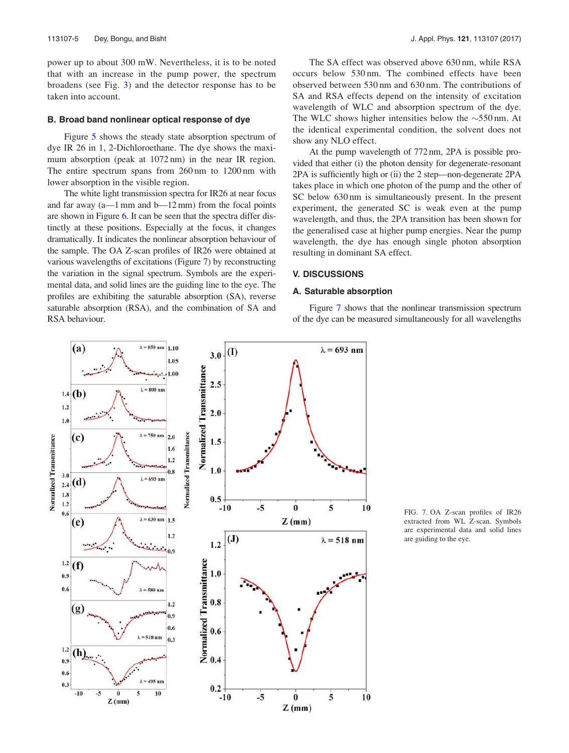power up to about 300 mW. Nevertheless, it is to be noted that with an increase in the pump power, the spectrum broadens (see Fig. 3) and the detector response has to be taken into account.

#### B. Broad band nonlinear optical response of dye

Figure 5 shows the steady state absorption spectrum of dye IR 26 in 1, 2-Dichloroethane. The dye shows the maximum absorption (peak at 1072 nm) in the near IR region. The entire spectrum spans from 260 nm to 1200 nm with lower absorption in the visible region.

The white light transmission spectra for IR26 at near focus and far away  $(a-1)$  mm and  $b-12$  mm) from the focal points are shown in Figure 6. It can be seen that the spectra differ distinctly at these positions. Especially at the focus, it changes dramatically. It indicates the nonlinear absorption behaviour of the sample. The OA Z-scan profiles of IR26 were obtained at various wavelengths of excitations (Figure 7) by reconstructing the variation in the signal spectrum. Symbols are the experimental data, and solid lines are the guiding line to the eye. The profiles are exhibiting the saturable absorption (SA), reverse saturable absorption (RSA), and the combination of SA and RSA behaviour.

The SA effect was observed above 630 nm, while RSA occurs below 530 nm. The combined effects have been observed between 530 nm and 630 nm. The contributions of SA and RSA effects depend on the intensity of excitation wavelength of WLC and absorption spectrum of the dye. The WLC shows higher intensities below the  $\sim$ 550 nm. At the identical experimental condition, the solvent does not show any NLO effect.

At the pump wavelength of 772 nm, 2PA is possible provided that either (i) the photon density for degenerate-resonant 2PA is sufficiently high or (ii) the 2 step—non-degenerate 2PA takes place in which one photon of the pump and the other of SC below 630 nm is simultaneously present. In the present experiment, the generated SC is weak even at the pump wavelength, and thus, the 2PA transition has been shown for the generalised case at higher pump energies. Near the pump wavelength, the dye has enough single photon absorption resulting in dominant SA effect.

## V. DISCUSSIONS

## A. Saturable absorption

Figure 7 shows that the nonlinear transmission spectrum of the dye can be measured simultaneously for all wavelengths



FIG. 7. OA Z-scan profiles of IR26 extracted from WL Z-scan. Symbols are experimental data and solid lines are guiding to the eye.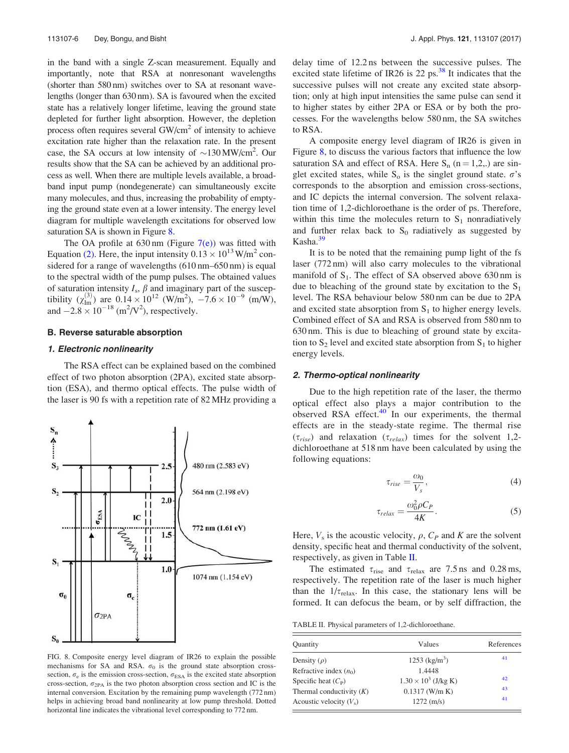in the band with a single Z-scan measurement. Equally and importantly, note that RSA at nonresonant wavelengths (shorter than 580 nm) switches over to SA at resonant wavelengths (longer than 630 nm). SA is favoured when the excited state has a relatively longer lifetime, leaving the ground state depleted for further light absorption. However, the depletion process often requires several GW/cm<sup>2</sup> of intensity to achieve excitation rate higher than the relaxation rate. In the present case, the SA occurs at low intensity of  $\sim$ 130 MW/cm<sup>2</sup>. Our results show that the SA can be achieved by an additional process as well. When there are multiple levels available, a broadband input pump (nondegenerate) can simultaneously excite many molecules, and thus, increasing the probability of emptying the ground state even at a lower intensity. The energy level diagram for multiple wavelength excitations for observed low saturation SA is shown in Figure 8.

The OA profile at  $630 \text{ nm}$  (Figure  $7(e)$ ) was fitted with Equation (2). Here, the input intensity  $0.13 \times 10^{13}$  W/m<sup>2</sup> considered for a range of wavelengths (610 nm–650 nm) is equal to the spectral width of the pump pulses. The obtained values of saturation intensity  $I_s$ ,  $\beta$  and imaginary part of the susceptibility ( $\chi_{lm}^{(3)}$ ) are 0.14  $\times$  10<sup>12</sup> (W/m<sup>2</sup>),  $-7.6 \times 10^{-9}$  (m/W), and  $-2.8 \times 10^{-18}$  (m<sup>2</sup>/V<sup>2</sup>), respectively.

## B. Reverse saturable absorption

## 1. Electronic nonlinearity

The RSA effect can be explained based on the combined effect of two photon absorption (2PA), excited state absorption (ESA), and thermo optical effects. The pulse width of the laser is 90 fs with a repetition rate of 82 MHz providing a



FIG. 8. Composite energy level diagram of IR26 to explain the possible mechanisms for SA and RSA.  $\sigma_0$  is the ground state absorption crosssection,  $\sigma_e$  is the emission cross-section,  $\sigma_{\text{ESA}}$  is the excited state absorption cross-section,  $\sigma_{\rm 2PA}$  is the two photon absorption cross section and IC is the internal conversion. Excitation by the remaining pump wavelength (772 nm) helps in achieving broad band nonlinearity at low pump threshold. Dotted horizontal line indicates the vibrational level corresponding to 772 nm.

delay time of 12.2 ns between the successive pulses. The excited state lifetime of IR26 is 22 ps. $38$  It indicates that the successive pulses will not create any excited state absorption; only at high input intensities the same pulse can send it to higher states by either 2PA or ESA or by both the processes. For the wavelengths below 580 nm, the SA switches to RSA.

A composite energy level diagram of IR26 is given in Figure 8, to discuss the various factors that influence the low saturation SA and effect of RSA. Here  $S_n$  (n = 1,2,.) are singlet excited states, while  $S_0$  is the singlet ground state.  $\sigma$ 's corresponds to the absorption and emission cross-sections, and IC depicts the internal conversion. The solvent relaxation time of 1,2-dichloroethane is the order of ps. Therefore, within this time the molecules return to  $S_1$  nonradiatively and further relax back to  $S_0$  radiatively as suggested by  $Kasha.<sup>39</sup>$ 

It is to be noted that the remaining pump light of the fs laser (772 nm) will also carry molecules to the vibrational manifold of  $S_1$ . The effect of SA observed above 630 nm is due to bleaching of the ground state by excitation to the  $S_1$ level. The RSA behaviour below 580 nm can be due to 2PA and excited state absorption from  $S<sub>1</sub>$  to higher energy levels. Combined effect of SA and RSA is observed from 580 nm to 630 nm. This is due to bleaching of ground state by excitation to  $S_2$  level and excited state absorption from  $S_1$  to higher energy levels.

## 2. Thermo-optical nonlinearity

Due to the high repetition rate of the laser, the thermo optical effect also plays a major contribution to the observed RSA effect.<sup>40</sup> In our experiments, the thermal effects are in the steady-state regime. The thermal rise  $(\tau_{rise})$  and relaxation  $(\tau_{relax})$  times for the solvent 1,2dichloroethane at 518 nm have been calculated by using the following equations:

$$
\tau_{rise} = \frac{\omega_0}{V_s},\tag{4}
$$

$$
\tau_{relax} = \frac{\omega_0^2 \rho C_P}{4K}.
$$
\n(5)

Here,  $V_s$  is the acoustic velocity,  $\rho$ ,  $C_P$  and K are the solvent density, specific heat and thermal conductivity of the solvent, respectively, as given in Table II.

The estimated  $\tau_{\text{rise}}$  and  $\tau_{\text{relax}}$  are 7.5 ns and 0.28 ms, respectively. The repetition rate of the laser is much higher than the  $1/\tau_{\text{relax}}$ . In this case, the stationary lens will be formed. It can defocus the beam, or by self diffraction, the

TABLE II. Physical parameters of 1,2-dichloroethane.

| Quantity                    | Values                      | References |
|-----------------------------|-----------------------------|------------|
| Density $(\rho)$            | $1253$ (kg/m <sup>3</sup> ) | 41         |
| Refractive index $(n_0)$    | 1.4448                      |            |
| Specific heat $(C_{\rm P})$ | $1.30 \times 10^3$ (J/kg K) | 42         |
| Thermal conductivity $(K)$  | $0.1317$ (W/m K)            | 43         |
| Acoustic velocity $(V_s)$   | $1272 \; (m/s)$             | 41         |